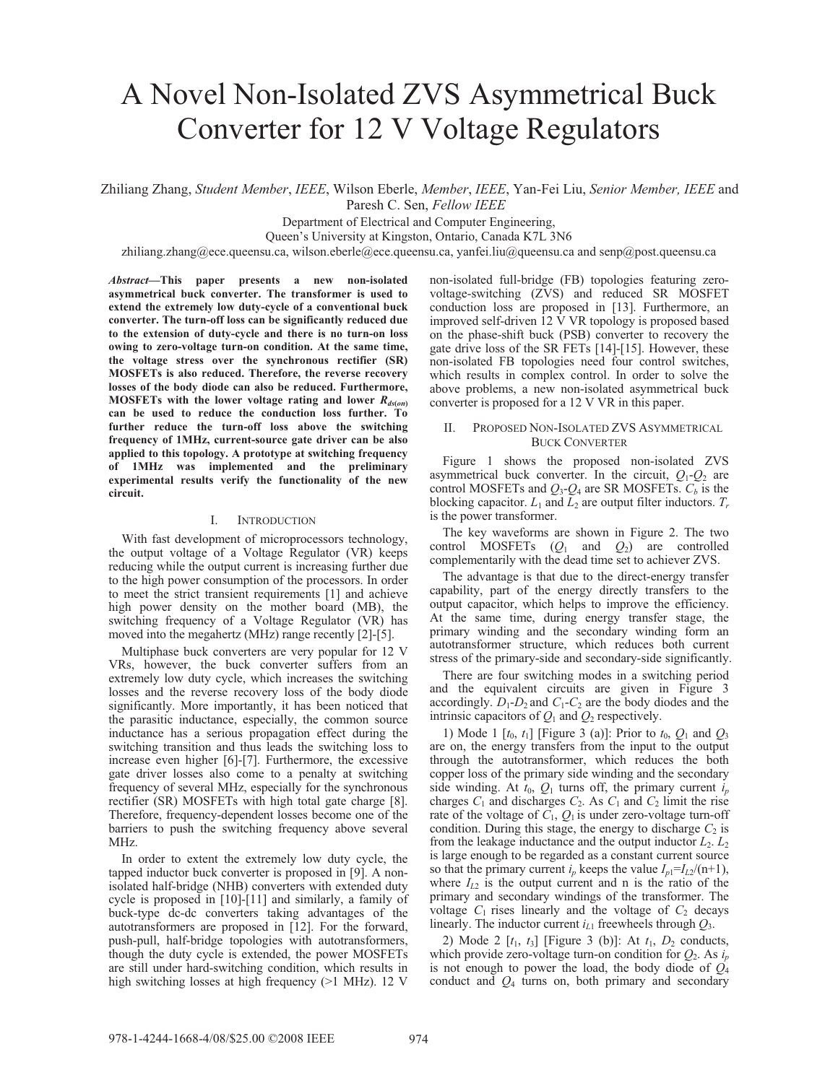# A Novel Non-Isolated ZVS Asymmetrical Buck Converter for 12 V Voltage Regulators

Zhiliang Zhang, *Student Member*, *IEEE*, Wilson Eberle, *Member*, *IEEE*, Yan-Fei Liu, *Senior Member, IEEE* and Paresh C. Sen, *Fellow IEEE*

Department of Electrical and Computer Engineering,

Queen's University at Kingston, Ontario, Canada K7L 3N6

zhiliang.zhang@ece.queensu.ca, wilson.eberle@ece.queensu.ca, yanfei.liu@queensu.ca and senp@post.queensu.ca

*Abstract***—This paper presents a new non-isolated asymmetrical buck converter. The transformer is used to extend the extremely low duty-cycle of a conventional buck converter. The turn-off loss can be significantly reduced due to the extension of duty-cycle and there is no turn-on loss owing to zero-voltage turn-on condition. At the same time, the voltage stress over the synchronous rectifier (SR) MOSFETs is also reduced. Therefore, the reverse recovery losses of the body diode can also be reduced. Furthermore, MOSFETs with the lower voltage rating and lower**  $R_{ds(on)}$ **can be used to reduce the conduction loss further. To further reduce the turn-off loss above the switching frequency of 1MHz, current-source gate driver can be also applied to this topology. A prototype at switching frequency of 1MHz was implemented and the preliminary experimental results verify the functionality of the new circuit.** 

#### I. **INTRODUCTION**

With fast development of microprocessors technology, the output voltage of a Voltage Regulator (VR) keeps reducing while the output current is increasing further due to the high power consumption of the processors. In order to meet the strict transient requirements [1] and achieve high power density on the mother board (MB), the switching frequency of a Voltage Regulator (VR) has moved into the megahertz (MHz) range recently [2]-[5].

Multiphase buck converters are very popular for 12 V VRs, however, the buck converter suffers from an extremely low duty cycle, which increases the switching losses and the reverse recovery loss of the body diode significantly. More importantly, it has been noticed that the parasitic inductance, especially, the common source inductance has a serious propagation effect during the switching transition and thus leads the switching loss to increase even higher [6]-[7]. Furthermore, the excessive gate driver losses also come to a penalty at switching frequency of several MHz, especially for the synchronous rectifier (SR) MOSFETs with high total gate charge [8]. Therefore, frequency-dependent losses become one of the barriers to push the switching frequency above several MHz.

In order to extent the extremely low duty cycle, the tapped inductor buck converter is proposed in [9]. A nonisolated half-bridge (NHB) converters with extended duty cycle is proposed in [10]-[11] and similarly, a family of buck-type dc-dc converters taking advantages of the autotransformers are proposed in [12]. For the forward, push-pull, half-bridge topologies with autotransformers, though the duty cycle is extended, the power MOSFETs are still under hard-switching condition, which results in high switching losses at high frequency (>1 MHz). 12 V

non-isolated full-bridge (FB) topologies featuring zerovoltage-switching (ZVS) and reduced SR MOSFET conduction loss are proposed in [13]. Furthermore, an improved self-driven 12 V VR topology is proposed based on the phase-shift buck (PSB) converter to recovery the gate drive loss of the SR FETs [14]-[15]. However, these non-isolated FB topologies need four control switches, which results in complex control. In order to solve the above problems, a new non-isolated asymmetrical buck converter is proposed for a 12 V VR in this paper.

#### II. PROPOSED NON-ISOLATED ZVS ASYMMETRICAL BUCK CONVERTER

Figure 1 shows the proposed non-isolated ZVS asymmetrical buck converter. In the circuit,  $Q_1 - Q_2$  are control MOSFETs and  $Q_3$ - $Q_4$  are SR MOSFETs.  $C_b$  is the blocking capacitor.  $L_1$  and  $\bar{L}_2$  are output filter inductors.  $T_r$ is the power transformer.

The key waveforms are shown in Figure 2. The two control MOSFETs (*Q*1 and *Q*2) are controlled complementarily with the dead time set to achiever ZVS.

The advantage is that due to the direct-energy transfer capability, part of the energy directly transfers to the output capacitor, which helps to improve the efficiency. At the same time, during energy transfer stage, the primary winding and the secondary winding form an autotransformer structure, which reduces both current stress of the primary-side and secondary-side significantly.

There are four switching modes in a switching period and the equivalent circuits are given in Figure 3 accordingly.  $D_1$ - $D_2$  and  $C_1$ - $C_2$  are the body diodes and the intrinsic capacitors of  $Q_1$  and  $Q_2$  respectively.

1) Mode 1 [*t*0, *t*1] [Figure 3 (a)]: Prior to *t*0, *Q*1 and *Q*<sup>3</sup> are on, the energy transfers from the input to the output through the autotransformer, which reduces the both copper loss of the primary side winding and the secondary side winding. At  $t_0$ ,  $Q_1$  turns off, the primary current  $i_p$ charges  $C_1$  and discharges  $C_2$ . As  $C_1$  and  $C_2$  limit the rise rate of the voltage of  $C_1$ ,  $Q_1$  is under zero-voltage turn-off condition. During this stage, the energy to discharge  $C_2$  is from the leakage inductance and the output inductor  $L_2$ .  $L_2$ is large enough to be regarded as a constant current source so that the primary current  $i_p$  keeps the value  $I_{p1} = I_{12}/(n+1)$ , where  $I_{L2}$  is the output current and n is the ratio of the primary and secondary windings of the transformer. The voltage  $C_1$  rises linearly and the voltage of  $C_2$  decays linearly. The inductor current *i*<sub>L1</sub> freewheels through  $Q_3$ .

2) Mode 2  $[t_1, t_3]$  [Figure 3 (b)]: At  $t_1, D_2$  conducts, which provide zero-voltage turn-on condition for  $Q_2$ . As  $i_p$ is not enough to power the load, the body diode of  $Q_4$ conduct and  $Q_4$  turns on, both primary and secondary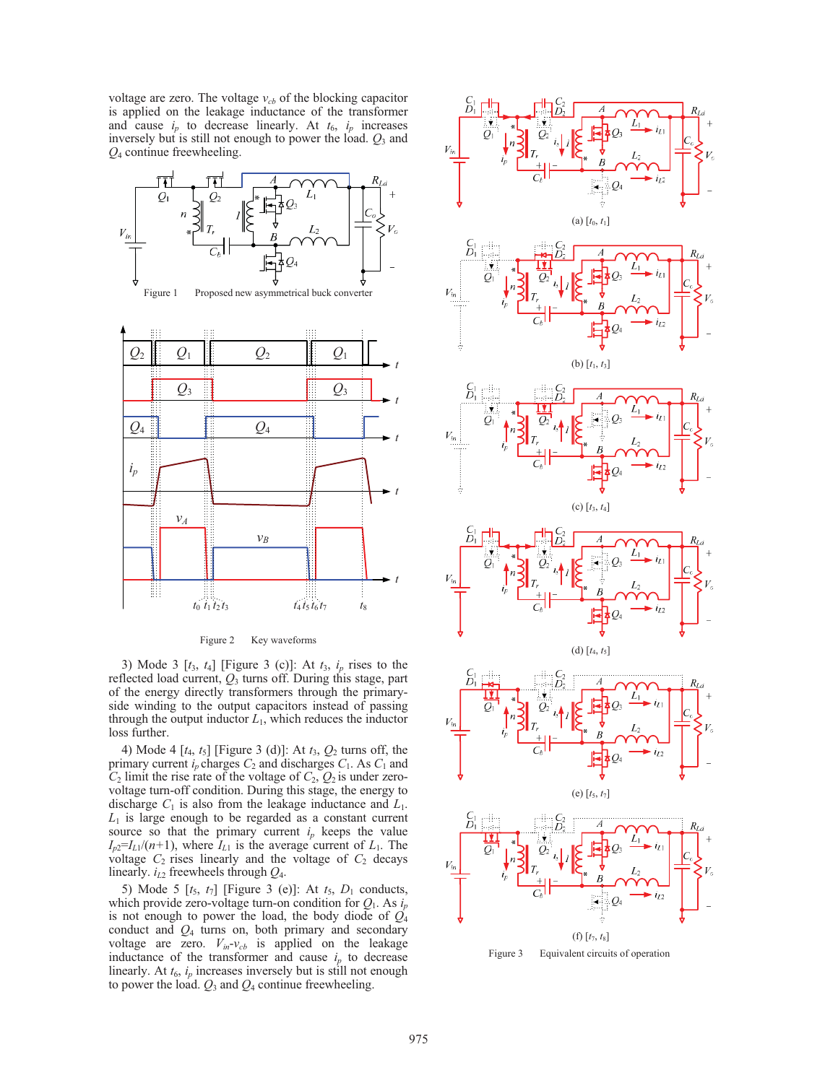voltage are zero. The voltage  $v_{cb}$  of the blocking capacitor is applied on the leakage inductance of the transformer and cause  $i_p$  to decrease linearly. At  $t_6$ ,  $i_p$  increases inversely but is still not enough to power the load. *Q*3 and *Q*4 continue freewheeling.







Figure 2 Key waveforms

3) Mode 3 [*t*3, *t*4] [Figure 3 (c)]: At *t*3, *ip* rises to the reflected load current, *Q*3 turns off. During this stage, part of the energy directly transformers through the primaryside winding to the output capacitors instead of passing through the output inductor  $L_1$ , which reduces the inductor loss further.

4) Mode 4 [*t*4, *t*5] [Figure 3 (d)]: At *t*3, *Q*2 turns off, the primary current  $i_p$  charges  $C_2$  and discharges  $C_1$ . As  $C_1$  and  $C_2$  limit the rise rate of the voltage of  $C_2$ ,  $Q_2$  is under zerovoltage turn-off condition. During this stage, the energy to discharge  $C_1$  is also from the leakage inductance and  $L_1$ .  $L_1$  is large enough to be regarded as a constant current source so that the primary current  $i_p$  keeps the value  $I_{p2}=I_{L1}/(n+1)$ , where  $I_{L1}$  is the average current of  $L_1$ . The voltage  $C_2$  rises linearly and the voltage of  $C_2$  decays linearly. *iL*2 freewheels through *Q*4.

5) Mode 5  $[t_5, t_7]$  [Figure 3 (e)]: At  $t_5$ ,  $D_1$  conducts, which provide zero-voltage turn-on condition for  $Q_1$ . As  $i_p$ is not enough to power the load, the body diode of  $\overline{Q}_4$ conduct and *Q*4 turns on, both primary and secondary voltage are zero.  $V_{in}$ - $v_{cb}$  is applied on the leakage inductance of the transformer and cause  $i_p$  to decrease linearly. At  $t_6$ ,  $i_p$  increases inversely but is still not enough to power the load.  $Q_3$  and  $Q_4$  continue freewheeling.



















Figure 3 Equivalent circuits of operation

 $\frac{C_1}{D_1}$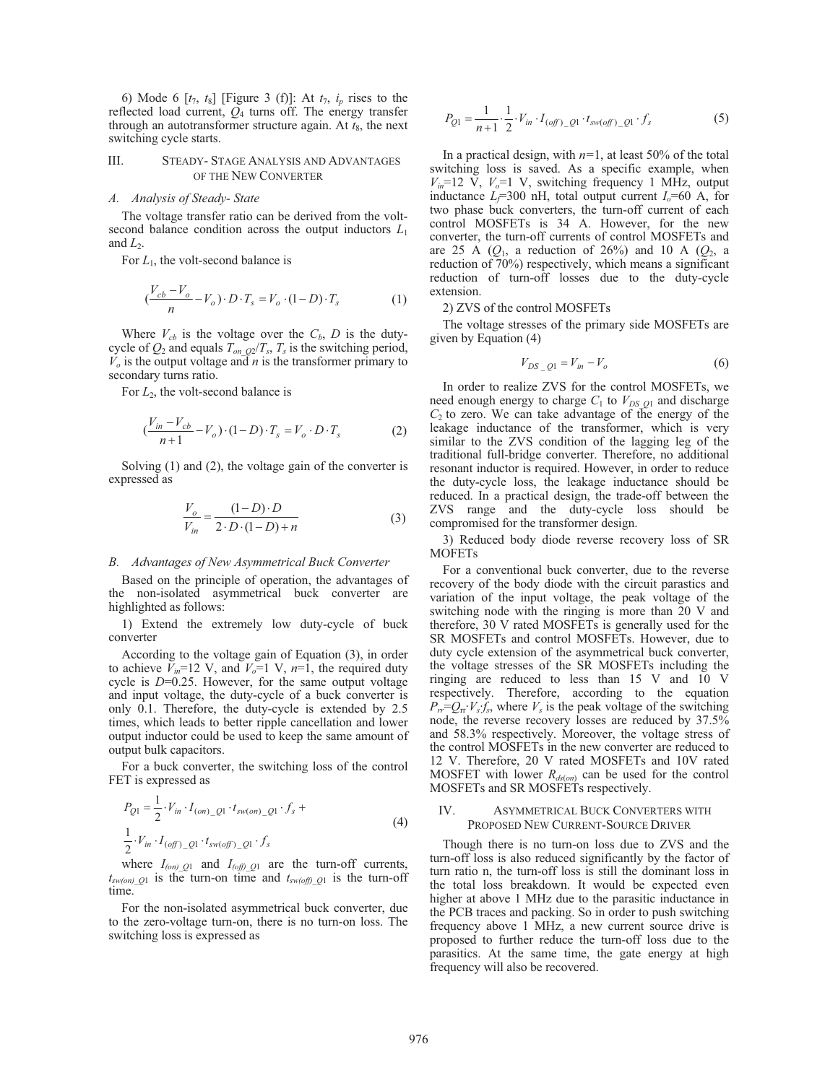6) Mode 6  $[t_7, t_8]$  [Figure 3 (f)]: At  $t_7$ ,  $i_p$  rises to the reflected load current, *Q*4 turns off. The energy transfer through an autotransformer structure again. At  $t_8$ , the next switching cycle starts.

#### III. STEADY- STAGE ANALYSIS AND ADVANTAGES OF THE NEW CONVERTER

## *A. Analysis of Steady- State*

The voltage transfer ratio can be derived from the voltsecond balance condition across the output inductors *L*<sup>1</sup> and  $L_2$ .

For  $L_1$ , the volt-second balance is

$$
\left(\frac{V_{cb} - V_o}{n} - V_o\right) \cdot D \cdot T_s = V_o \cdot (1 - D) \cdot T_s \tag{1}
$$

Where  $V_{cb}$  is the voltage over the  $C_b$ , *D* is the dutycycle of  $Q_2$  and equals  $T_{on}$   $_{Q_2}/T_s$ ,  $T_s$  is the switching period,  $\overline{V}_o$  is the output voltage and *n* is the transformer primary to secondary turns ratio.

For  $L_2$ , the volt-second balance is

$$
\left(\frac{V_{in} - V_{cb}}{n+1} - V_o\right) \cdot (1-D) \cdot T_s = V_o \cdot D \cdot T_s \tag{2}
$$

Solving (1) and (2), the voltage gain of the converter is expressed as

$$
\frac{V_o}{V_{in}} = \frac{(1 - D) \cdot D}{2 \cdot D \cdot (1 - D) + n}
$$
(3)

## *B. Advantages of New Asymmetrical Buck Converter*

Based on the principle of operation, the advantages of the non-isolated asymmetrical buck converter are highlighted as follows:

1) Extend the extremely low duty-cycle of buck converter

According to the voltage gain of Equation (3), in order to achieve  $\bar{V}_{in}$ =12 V, and  $\bar{V}_{o}$ =1 V,  $n=\bar{1}$ , the required duty cycle is *D*=0.25. However, for the same output voltage and input voltage, the duty-cycle of a buck converter is only 0.1. Therefore, the duty-cycle is extended by 2.5 times, which leads to better ripple cancellation and lower output inductor could be used to keep the same amount of output bulk capacitors.

For a buck converter, the switching loss of the control FET is expressed as

$$
P_{Q1} = \frac{1}{2} \cdot V_{in} \cdot I_{(on)}{}_{Q1} \cdot t_{sw,on}{}_{Q1} \cdot f_s +
$$
  

$$
\frac{1}{2} \cdot V_{in} \cdot I_{(off)}{}_{Q1} \cdot t_{sw(off)}{}_{Q1} \cdot f_s
$$
 (4)

where  $I_{(on)Q1}$  and  $I_{(off)Q1}$  are the turn-off currents,  $t_{sw(on)$ *\_Q*1 is the turn-on time and  $t_{sw(off)$ *\_Q*1 is the turn-off time.

For the non-isolated asymmetrical buck converter, due to the zero-voltage turn-on, there is no turn-on loss. The switching loss is expressed as

$$
P_{Q1} = \frac{1}{n+1} \cdot \frac{1}{2} \cdot V_{in} \cdot I_{(off)} \cdot I_{sw(off)} \cdot \rho_1 \cdot f_s
$$
 (5)

In a practical design, with *n=*1, at least 50% of the total switching loss is saved. As a specific example, when  $V_{in}$ =12 V,  $V_{o}$ =1 V, switching frequency 1 MHz, output inductance  $L_f$ =300 nH, total output current  $I_o$ =60 A, for two phase buck converters, the turn-off current of each control MOSFETs is 34 A. However, for the new converter, the turn-off currents of control MOSFETs and are 25 A  $(Q_1, a$  reduction of 26%) and 10 A  $(Q_2, a)$ reduction of 70%) respectively, which means a significant reduction of turn-off losses due to the duty-cycle extension.

## 2) ZVS of the control MOSFETs

The voltage stresses of the primary side MOSFETs are given by Equation (4)

$$
V_{DS\_Q1} = V_{in} - V_o \tag{6}
$$

In order to realize ZVS for the control MOSFETs, we need enough energy to charge  $C_1$  to  $V_{DS_1Q1}$  and discharge  $C_2$  to zero. We can take advantage of the energy of the leakage inductance of the transformer, which is very similar to the ZVS condition of the lagging leg of the traditional full-bridge converter. Therefore, no additional resonant inductor is required. However, in order to reduce the duty-cycle loss, the leakage inductance should be reduced. In a practical design, the trade-off between the ZVS range and the duty-cycle loss should be compromised for the transformer design.

3) Reduced body diode reverse recovery loss of SR MOFETs

For a conventional buck converter, due to the reverse recovery of the body diode with the circuit parastics and variation of the input voltage, the peak voltage of the switching node with the ringing is more than 20 V and therefore, 30 V rated MOSFETs is generally used for the SR MOSFETs and control MOSFETs. However, due to duty cycle extension of the asymmetrical buck converter, the voltage stresses of the SR MOSFETs including the ringing are reduced to less than 15 V and 10 V respectively. Therefore, according to the equation  $P_{rr} = Q_{rr} \cdot V_s \cdot f_s$ , where  $V_s$  is the peak voltage of the switching node, the reverse recovery losses are reduced by 37.5% and 58.3% respectively. Moreover, the voltage stress of the control MOSFETs in the new converter are reduced to 12 V. Therefore, 20 V rated MOSFETs and 10V rated MOSFET with lower  $R_{d\text{s}(on)}$  can be used for the control MOSFETs and SR MOSFETs respectively.

# IV. ASYMMETRICAL BUCK CONVERTERS WITH PROPOSED NEW CURRENT-SOURCE DRIVER

Though there is no turn-on loss due to ZVS and the turn-off loss is also reduced significantly by the factor of turn ratio n, the turn-off loss is still the dominant loss in the total loss breakdown. It would be expected even higher at above 1 MHz due to the parasitic inductance in the PCB traces and packing. So in order to push switching frequency above 1 MHz, a new current source drive is proposed to further reduce the turn-off loss due to the parasitics. At the same time, the gate energy at high frequency will also be recovered.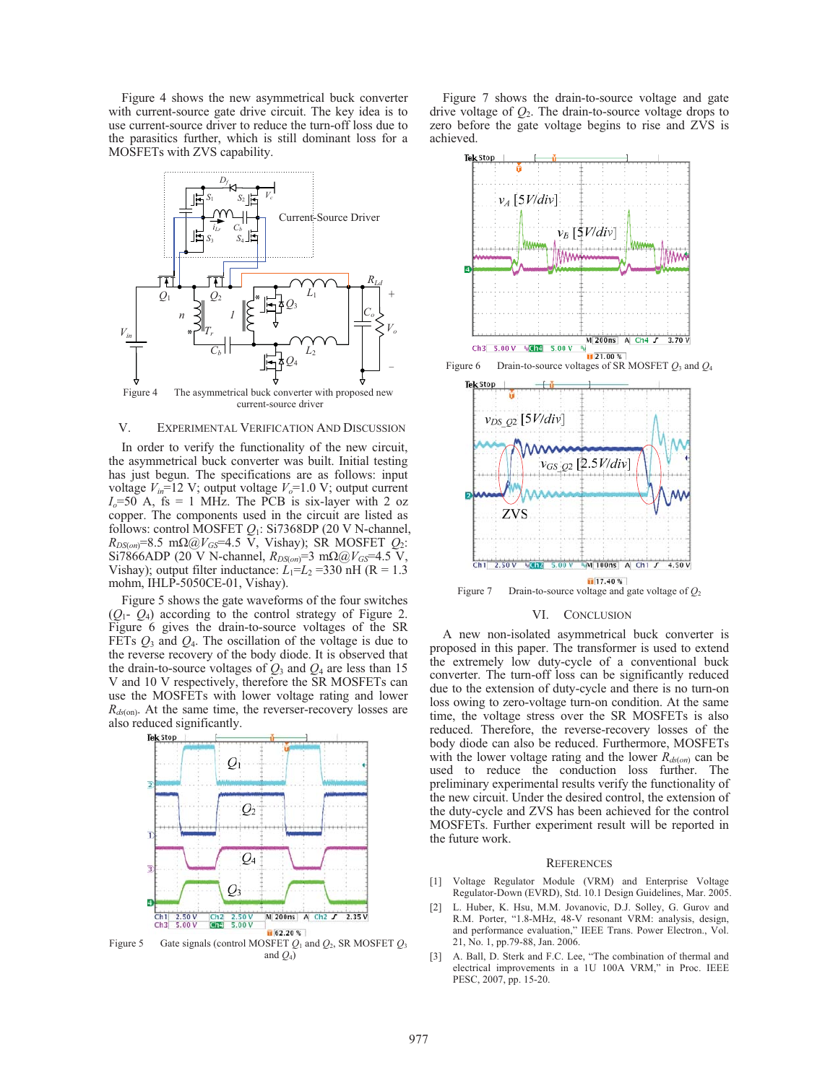Figure 4 shows the new asymmetrical buck converter with current-source gate drive circuit. The key idea is to use current-source driver to reduce the turn-off loss due to the parasitics further, which is still dominant loss for a MOSFETs with ZVS capability.



Figure 4 The asymmetrical buck converter with proposed new current-source driver

# V. EXPERIMENTAL VERIFICATION AND DISCUSSION

In order to verify the functionality of the new circuit, the asymmetrical buck converter was built. Initial testing has just begun. The specifications are as follows: input voltage  $V_{in}$ =12 V; output voltage  $V_o$ =1.0 V; output current  $I<sub>o</sub>=50$  A, fs = 1 MHz. The PCB is six-layer with 2 oz copper. The components used in the circuit are listed as follows: control MOSFET *Q*1: Si7368DP (20 V N-channel,  $R_{DS(on)}=8.5 \text{ m}\Omega\textcircled{a}V_{GS}=4.5 \text{ V}$ , Vishay); SR MOSFET  $Q_2$ :  $Si7866$  ADP (20 V N-channel,  $R_{DS(on)} = 3 \text{ m}\Omega\omega V_{GS} = 4.5 \text{ V}$ , Vishay); output filter inductance:  $L_1 = L_2 = 330$  nH (R = 1.3) mohm, IHLP-5050CE-01, Vishay).

Figure 5 shows the gate waveforms of the four switches (*Q*1- *Q*4) according to the control strategy of Figure 2. Figure 6 gives the drain-to-source voltages of the SR FETs  $Q_3$  and  $Q_4$ . The oscillation of the voltage is due to the reverse recovery of the body diode. It is observed that the drain-to-source voltages of  $Q_3$  and  $Q_4$  are less than 15 V and 10 V respectively, therefore the SR MOSFETs can use the MOSFETs with lower voltage rating and lower  $R_{ds(\text{on})}$ . At the same time, the reverser-recovery losses are also reduced significantly.



Figure 5 Gate signals (control MOSFET  $Q_1$  and  $Q_2$ , SR MOSFET  $Q_3$ and  $Q_4$ )

Figure 7 shows the drain-to-source voltage and gate drive voltage of  $Q_2$ . The drain-to-source voltage drops to zero before the gate voltage begins to rise and ZVS is achieved.



### VI. CONCLUSION

A new non-isolated asymmetrical buck converter is proposed in this paper. The transformer is used to extend the extremely low duty-cycle of a conventional buck converter. The turn-off loss can be significantly reduced due to the extension of duty-cycle and there is no turn-on loss owing to zero-voltage turn-on condition. At the same time, the voltage stress over the SR MOSFETs is also reduced. Therefore, the reverse-recovery losses of the body diode can also be reduced. Furthermore, MOSFETs with the lower voltage rating and the lower  $R_{d\sigma(m)}$  can be used to reduce the conduction loss further. The preliminary experimental results verify the functionality of the new circuit. Under the desired control, the extension of the duty-cycle and ZVS has been achieved for the control MOSFETs. Further experiment result will be reported in the future work.

### **REFERENCES**

- [1] Voltage Regulator Module (VRM) and Enterprise Voltage Regulator-Down (EVRD), Std. 10.1 Design Guidelines, Mar. 2005.
- [2] L. Huber, K. Hsu, M.M. Jovanovic, D.J. Solley, G. Gurov and R.M. Porter, "1.8-MHz, 48-V resonant VRM: analysis, design, and performance evaluation," IEEE Trans. Power Electron., Vol. 21, No. 1, pp.79-88, Jan. 2006.
- [3] A. Ball, D. Sterk and F.C. Lee, "The combination of thermal and electrical improvements in a 1U 100A VRM," in Proc. IEEE PESC, 2007, pp. 15-20.